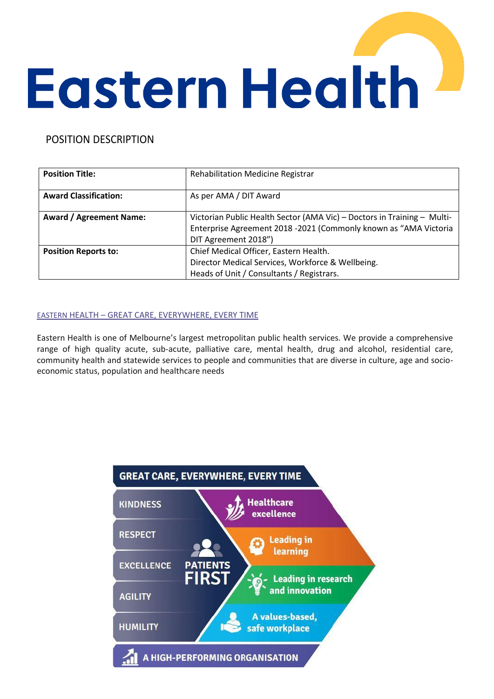# **Eastern Health**

# POSITION DESCRIPTION

| <b>Position Title:</b>         | <b>Rehabilitation Medicine Registrar</b>                                |
|--------------------------------|-------------------------------------------------------------------------|
| <b>Award Classification:</b>   | As per AMA / DIT Award                                                  |
| <b>Award / Agreement Name:</b> | Victorian Public Health Sector (AMA Vic) - Doctors in Training - Multi- |
|                                | Enterprise Agreement 2018 -2021 (Commonly known as "AMA Victoria        |
|                                | DIT Agreement 2018")                                                    |
| <b>Position Reports to:</b>    | Chief Medical Officer, Eastern Health.                                  |
|                                | Director Medical Services, Workforce & Wellbeing.                       |
|                                | Heads of Unit / Consultants / Registrars.                               |

# EASTERN HEALTH – GREAT CARE, EVERYWHERE, EVERY TIME

Eastern Health is one of Melbourne's largest metropolitan public health services. We provide a comprehensive range of high quality acute, sub-acute, palliative care, mental health, drug and alcohol, residential care, community health and statewide services to people and communities that are diverse in culture, age and socioeconomic status, population and healthcare needs

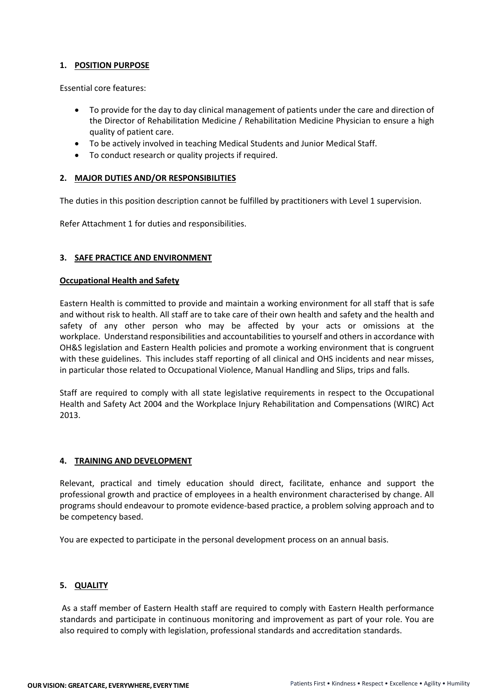#### **1. POSITION PURPOSE**

Essential core features:

- To provide for the day to day clinical management of patients under the care and direction of the Director of Rehabilitation Medicine / Rehabilitation Medicine Physician to ensure a high quality of patient care.
- To be actively involved in teaching Medical Students and Junior Medical Staff.
- To conduct research or quality projects if required.

#### **2. MAJOR DUTIES AND/OR RESPONSIBILITIES**

The duties in this position description cannot be fulfilled by practitioners with Level 1 supervision.

Refer Attachment 1 for duties and responsibilities.

#### **3. SAFE PRACTICE AND ENVIRONMENT**

#### **Occupational Health and Safety**

Eastern Health is committed to provide and maintain a working environment for all staff that is safe and without risk to health. All staff are to take care of their own health and safety and the health and safety of any other person who may be affected by your acts or omissions at the workplace. Understand responsibilities and accountabilities to yourself and others in accordance with OH&S legislation and Eastern Health policies and promote a working environment that is congruent with these guidelines. This includes staff reporting of all clinical and OHS incidents and near misses, in particular those related to Occupational Violence, Manual Handling and Slips, trips and falls.

Staff are required to comply with all state legislative requirements in respect to the Occupational Health and Safety Act 2004 and the Workplace Injury Rehabilitation and Compensations (WIRC) Act 2013.

#### **4. TRAINING AND DEVELOPMENT**

Relevant, practical and timely education should direct, facilitate, enhance and support the professional growth and practice of employees in a health environment characterised by change. All programs should endeavour to promote evidence-based practice, a problem solving approach and to be competency based.

You are expected to participate in the personal development process on an annual basis.

## **5. QUALITY**

As a staff member of Eastern Health staff are required to comply with Eastern Health performance standards and participate in continuous monitoring and improvement as part of your role. You are also required to comply with legislation, professional standards and accreditation standards.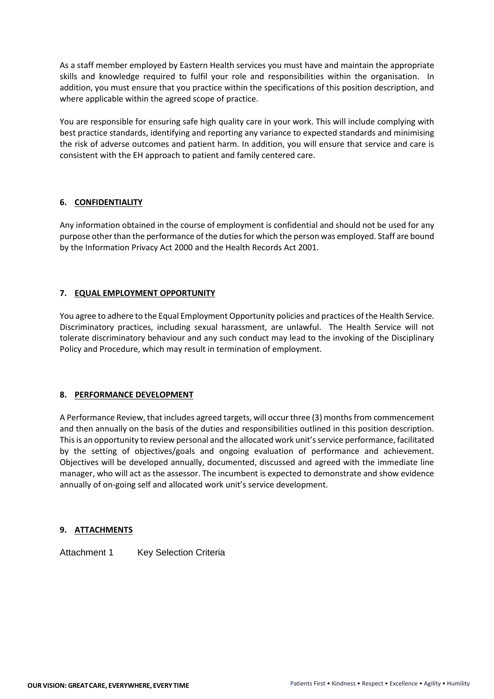As a staff member employed by Eastern Health services you must have and maintain the appropriate skills and knowledge required to fulfil your role and responsibilities within the organisation. In addition, you must ensure that you practice within the specifications of this position description, and where applicable within the agreed scope of practice.

You are responsible for ensuring safe high quality care in your work. This will include complying with best practice standards, identifying and reporting any variance to expected standards and minimising the risk of adverse outcomes and patient harm. In addition, you will ensure that service and care is consistent with the EH approach to patient and family centered care.

## **6. CONFIDENTIALITY**

Any information obtained in the course of employment is confidential and should not be used for any purpose other than the performance of the duties for which the person was employed. Staff are bound by the Information Privacy Act 2000 and the Health Records Act 2001.

## **7. EQUAL EMPLOYMENT OPPORTUNITY**

You agree to adhere to the Equal Employment Opportunity policies and practices of the Health Service. Discriminatory practices, including sexual harassment, are unlawful. The Health Service will not tolerate discriminatory behaviour and any such conduct may lead to the invoking of the Disciplinary Policy and Procedure, which may result in termination of employment.

## **8. PERFORMANCE DEVELOPMENT**

A Performance Review, that includes agreed targets, will occur three (3) months from commencement and then annually on the basis of the duties and responsibilities outlined in this position description. This is an opportunity to review personal and the allocated work unit's service performance, facilitated by the setting of objectives/goals and ongoing evaluation of performance and achievement. Objectives will be developed annually, documented, discussed and agreed with the immediate line manager, who will act as the assessor. The incumbent is expected to demonstrate and show evidence annually of on-going self and allocated work unit's service development.

## **9. ATTACHMENTS**

Attachment 1 Key Selection Criteria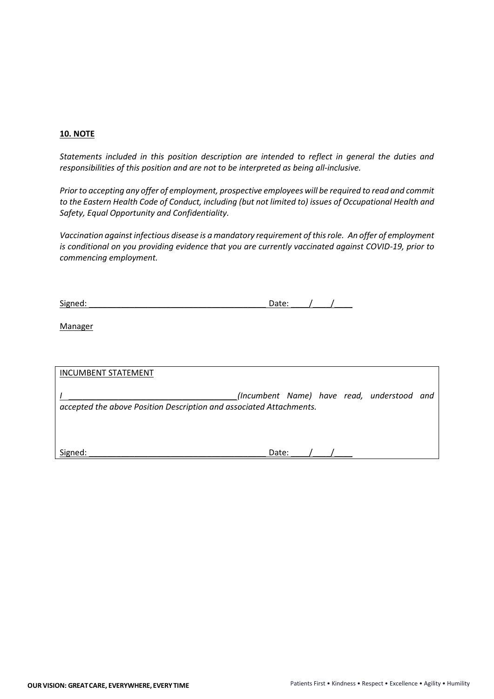#### **10. NOTE**

*Statements included in this position description are intended to reflect in general the duties and responsibilities of this position and are not to be interpreted as being all-inclusive.*

*Prior to accepting any offer of employment, prospective employees will be required to read and commit to the Eastern Health Code of Conduct, including (but not limited to) issues of Occupational Health and Safety, Equal Opportunity and Confidentiality.*

*Vaccination against infectious disease is a mandatory requirement of this role. An offer of employment is conditional on you providing evidence that you are currently vaccinated against COVID-19, prior to commencing employment.*

| Signed: |  |
|---------|--|
|         |  |

**Manager** 

| <b>INCUMBENT STATEMENT</b>                                          |                                            |  |  |
|---------------------------------------------------------------------|--------------------------------------------|--|--|
| accepted the above Position Description and associated Attachments. | (Incumbent Name) have read, understood and |  |  |
| Signed:                                                             | Date:                                      |  |  |